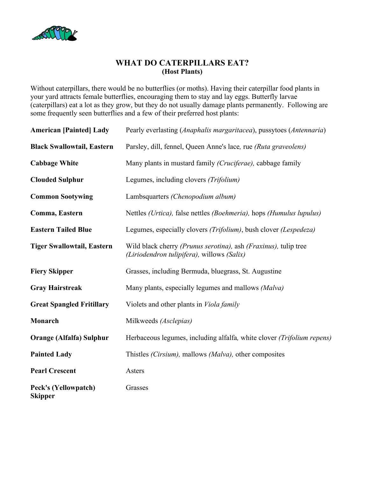

## **WHAT DO CATERPILLARS EAT? (Host Plants)**

Without caterpillars, there would be no butterflies (or moths). Having their caterpillar food plants in your yard attracts female butterflies, encouraging them to stay and lay eggs. Butterfly larvae (caterpillars) eat a lot as they grow, but they do not usually damage plants permanently. Following are some frequently seen butterflies and a few of their preferred host plants:

| <b>American [Painted] Lady</b>         | Pearly everlasting (Anaphalis margaritacea), pussytoes (Antennaria)                                                           |
|----------------------------------------|-------------------------------------------------------------------------------------------------------------------------------|
| <b>Black Swallowtail, Eastern</b>      | Parsley, dill, fennel, Queen Anne's lace, rue (Ruta graveolens)                                                               |
| <b>Cabbage White</b>                   | Many plants in mustard family (Cruciferae), cabbage family                                                                    |
| <b>Clouded Sulphur</b>                 | Legumes, including clovers (Trifolium)                                                                                        |
| <b>Common Sootywing</b>                | Lambsquarters (Chenopodium album)                                                                                             |
| Comma, Eastern                         | Nettles (Urtica), false nettles (Boehmeria), hops (Humulus lupulus)                                                           |
| <b>Eastern Tailed Blue</b>             | Legumes, especially clovers (Trifolium), bush clover (Lespedeza)                                                              |
| <b>Tiger Swallowtail, Eastern</b>      | Wild black cherry <i>(Prunus serotina)</i> , ash <i>(Fraxinus)</i> , tulip tree<br>(Liriodendron tulipifera), willows (Salix) |
| <b>Fiery Skipper</b>                   | Grasses, including Bermuda, bluegrass, St. Augustine                                                                          |
| <b>Gray Hairstreak</b>                 | Many plants, especially legumes and mallows (Malva)                                                                           |
| <b>Great Spangled Fritillary</b>       | Violets and other plants in <i>Viola family</i>                                                                               |
| Monarch                                | Milkweeds (Asclepias)                                                                                                         |
| <b>Orange (Alfalfa) Sulphur</b>        | Herbaceous legumes, including alfalfa, white clover (Trifolium repens)                                                        |
| <b>Painted Lady</b>                    | Thistles <i>(Cirsium)</i> , mallows <i>(Malva)</i> , other composites                                                         |
| <b>Pearl Crescent</b>                  | Asters                                                                                                                        |
| Peck's (Yellowpatch)<br><b>Skipper</b> | Grasses                                                                                                                       |